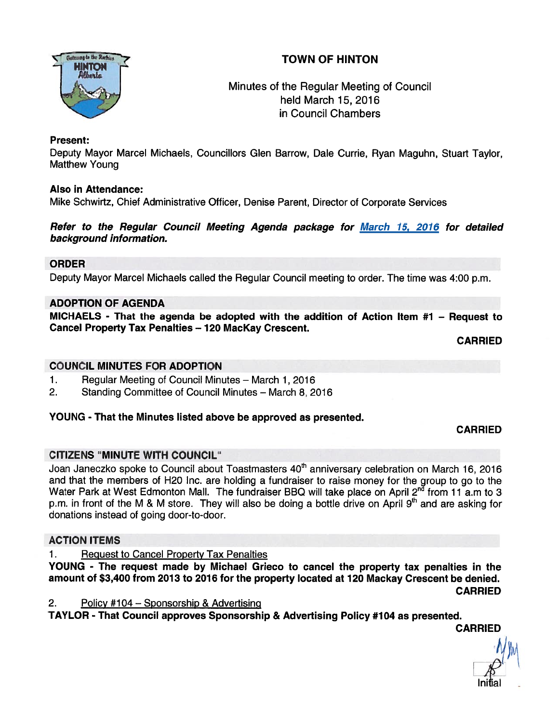



Minutes of the Regular Meeting of Council held March 15, 2016 in Council Chambers

# Present:

Deputy Mayor Marcel Michaels, Councillors Glen Barrow, Dale Currie, Ryan Maguhn, Stuart Taylor, Matthew Young

# Also in Attendance:

Mike Schwirtz, Chief Administrative Officer, Denise Parent, Director of Corporate Services

## Refer to the Regular Council Meeting Agenda package for March 15. 2016 for detailed background information.

### ORDER

Deputy Mayor Marcel Michaels called the Regular Council meeting to order. The time was 4:00 p.m.

# ADOPTION OF AGENDA

MICHAELS - That the agenda be adopted with the addition of Action Item #7 — Request to Cancel Property Tax Penalties — 720 MacKay Crescent.

CARRIED

### COUNCIL MINUTES FOR ADOPTION

- 1. Regular Meeting of Council Minutes March 1, 2016
- 2. Standing Committee of Council Minutes March 8, 2016

# YOUNG - That the Minutes listed above be approved as presented.

# CARRIED

# CITIZENS "MINUTE WITH COUNCIL"

Joan Janeczko spoke to Council about Toastmasters 40<sup>th</sup> anniversary celebration on March 16, 2016 and that the members of H20 Inc. are holding <sup>a</sup> fundraiser to raise money for the group to go to the Water Park at West Edmonton Mall. The fundraiser BBQ will take place on April 2<sup>nd</sup> from 11 a.m to 3 p.m. in front of the M & M store. They will also be doing a bottle drive on April 9<sup>th</sup> and are asking for donations instead of going door-to-door.

### ACTION ITEMS

1. Request to Cancel Property Tax Penalties

YOUNG - The reques<sup>t</sup> made by Michael Grieco to cancel the property tax penalties in the amount of \$3,400 from 2013 to 2016 for the property located at 120 Mackay Crescent be denied. CARRIED

- 2. Policy #104 Sponsorship & Advertising
- TAYLOR That Council approves Sponsorship & Advertising Policy #104 as presented.

CARRIED

Ini&'aI